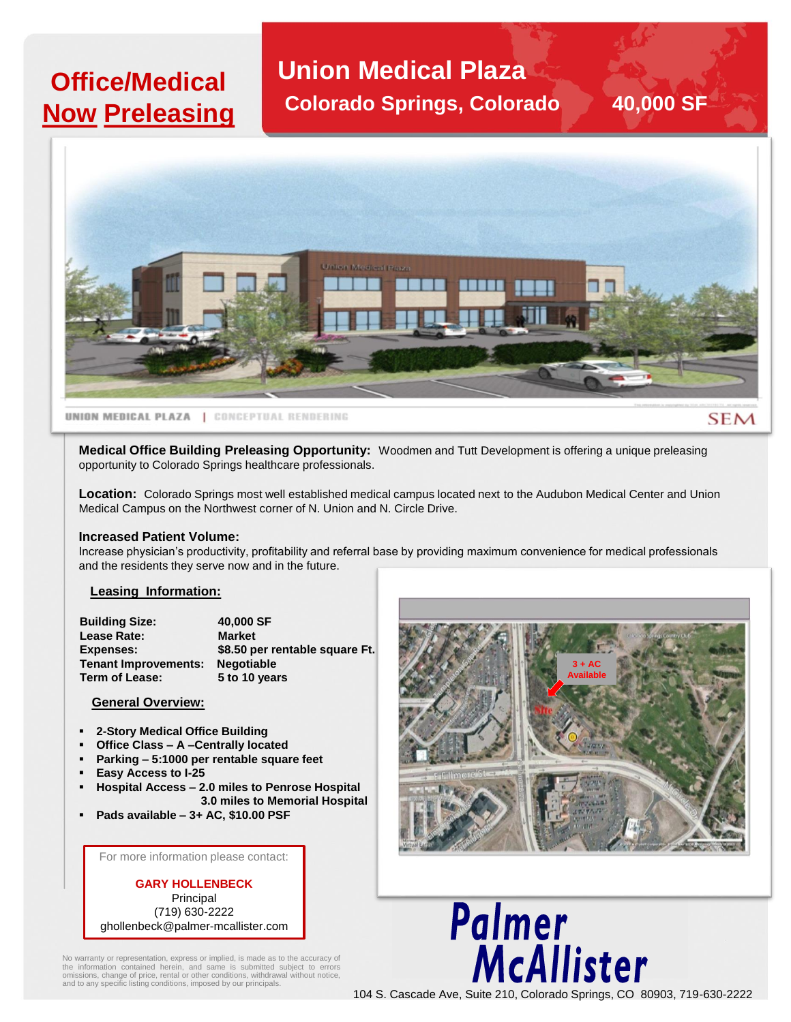## **Office/Medical Now Preleasing**

**Union Medical Plaza Colorado Springs, Colorado 40,000 SF**



**UNION MEDICAL PLAZA | CONCEPTUAL RENDERING** 

**SEM** 

**Medical Office Building Preleasing Opportunity:** Woodmen and Tutt Development is offering a unique preleasing opportunity to Colorado Springs healthcare professionals.

**Location:** Colorado Springs most well established medical campus located next to the Audubon Medical Center and Union Medical Campus on the Northwest corner of N. Union and N. Circle Drive.

#### **Increased Patient Volume:**

Increase physician's productivity, profitability and referral base by providing maximum convenience for medical professionals and the residents they serve now and in the future.

#### **Leasing Information:**

| <b>Building Size:</b>       | 40,000 SF                      |
|-----------------------------|--------------------------------|
| Lease Rate:                 | <b>Market</b>                  |
| <b>Expenses:</b>            | \$8.50 per rentable square Ft. |
| <b>Tenant Improvements:</b> | <b>Negotiable</b>              |
| Term of Lease:              | 5 to 10 years                  |

### **General Overview:**

- **2-Story Medical Office Building**
- **Office Class – A –Centrally located**
- **Parking – 5:1000 per rentable square feet**
- **Easy Access to I-25**
- **Hospital Access – 2.0 miles to Penrose Hospital 3.0 miles to Memorial Hospital**
- **Pads available – 3+ AC, \$10.00 PSF**

For more information please contact:

**GARY HOLLENBECK** Principal (719) 630-2222 ghollenbeck@palmer-mcallister.com

No warranty or representation, express or implied, is made as to the accuracy of the information contained herein, and same is submitted subject to errors omissions, change of price, rental or other conditions, withdrawal without notice, and to any specific listing conditions, imposed by our principals.